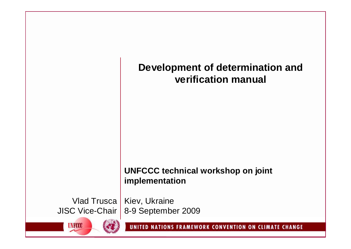# **Development of determination and verification manual**

# **UNFCCC technical workshop on joint implementation**

Vlad Trusca | Kiev, Ukraine 8-9 September 2009 JISC Vice-Chair

**UNFCCC**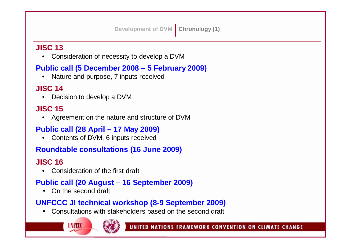**Development of DVM Chronology (1)**

### **JISC 13**

• Consideration of necessity to develop a DVM

## **Public call (5 December 2008 – 5 February 2009)**

• Nature and purpose, 7 inputs received

### **JISC 14**

• Decision to develop a DVM

### **JISC 15**

• Agreement on the nature and structure of DVM

## **Public call (28 April – 17 May 2009)**

• Contents of DVM, 6 inputs received

## **Roundtable consultations (16 June 2009)**

# **JISC 16**

• Consideration of the first draft

# **Public call (20 August – 16 September 2009)**

• On the second draft

## **UNFCCC JI technical workshop (8-9 September 2009)**

• Consultations with stakeholders based on the second draft

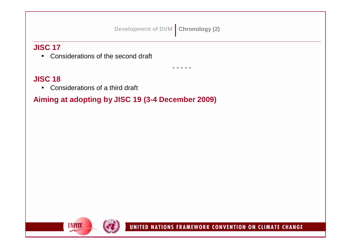### **Development of DVM Chronology (2)**

- - - - -

### **JISC 17**

• Considerations of the second draft

### **JISC 18**

• Considerations of a third draft

# **Aiming at adopting by JISC 19 (3-4 December 2009)**

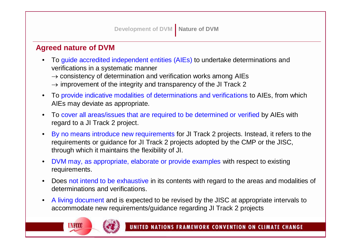#### **Agreed nature of DVM**

- To guide accredited independent entities (AIEs) to undertake determinations and verifications in a systematic manner
	- $\rightarrow$  consistency of determination and verification works among AIEs
	- $\rightarrow$  improvement of the integrity and transparency of the JI Track 2
- To provide indicative modalities of determinations and verifications to AIEs, from which AIEs may deviate as appropriate.
- To cover all areas/issues that are required to be determined or verified by AIEs with regard to a JI Track 2 project.
- By no means introduce new requirements for JI Track 2 projects. Instead, it refers to the requirements or guidance for JI Track 2 projects adopted by the CMP or the JISC, through which it maintains the flexibility of JI.
- DVM may, as appropriate, elaborate or provide examples with respect to existing requirements.
- Does not intend to be exhaustive in its contents with regard to the areas and modalities of determinations and verifications.
- A living document and is expected to be revised by the JISC at appropriate intervals to accommodate new requirements/guidance regarding JI Track 2 projects

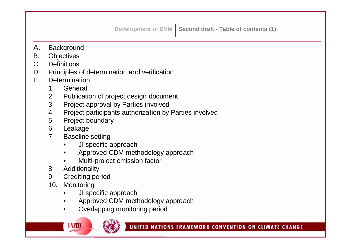- A. Background
- B. Objectives
- C. Definitions
- D. Principles of determination and verification
- E. Determination
	- 1. General
	- 2. Publication of project design document
	- 3. Project approval by Parties involved
	- 4. Project participants authorization by Parties involved
	- 5. Project boundary
	- 6. Leakage
	- 7. Baseline setting
		- JI specific approach
		- Approved CDM methodology approach
		- Multi-project emission factor
	- 8. Additionality
	- 9. Crediting period
	- 10. Monitoring
		- JI specific approach
		- Approved CDM methodology approach
		- Overlapping monitoring period

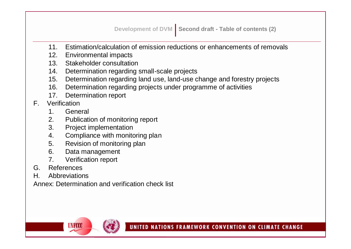- 11. Estimation/calculation of emission reductions or enhancements of removals
- 12. Environmental impacts
- 13. Stakeholder consultation
- 14. Determination regarding small-scale projects
- 15. Determination regarding land use, land-use change and forestry projects
- 16. Determination regarding projects under programme of activities
- 17. Determination report
- F. Verification
	- 1. General
	- 2. Publication of monitoring report
	- 3. Project implementation
	- 4. Compliance with monitoring plan
	- 5. Revision of monitoring plan
	- 6. Data management
	- 7. Verification report

**UNFCCC** 

- G. References
- H. Abbreviations

Annex: Determination and verification check list

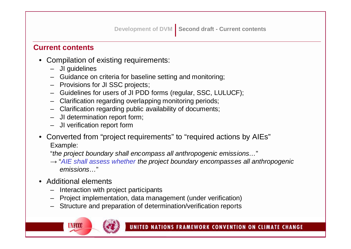**Development of DVM** Second draft - Current contents

**Current contents**

- Compilation of existing requirements:
	- JI guidelines
	- Guidance on criteria for baseline setting and monitoring;
	- Provisions for JI SSC projects;
	- Guidelines for users of JI PDD forms (regular, SSC, LULUCF);
	- Clarification regarding overlapping monitoring periods;
	- Clarification regarding public availability of documents;
	- JI determination report form;
	- JI verification report form
- Converted from "project requirements" to "required actions by AIEs" Example:

"*the project boundary shall encompass all anthropogenic emissions…*"

- → "*AIE shall assess whether the project boundary encompasses all anthropogenic emissions…*"
- Additional elements
	- Interaction with project participants
	- Project implementation, data management (under verification)
	- Structure and preparation of determination/verification reports

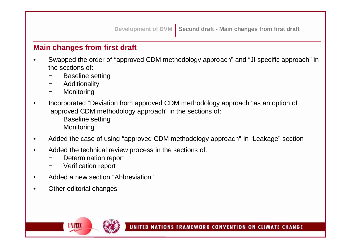#### **Main changes from first draft**

- Swapped the order of "approved CDM methodology approach" and "JI specific approach" in the sections of:
	- Baseline setting
	- − Additionality
	- − Monitoring
- Incorporated "Deviation from approved CDM methodology approach" as an option of "approved CDM methodology approach" in the sections of:
	- Baseline setting
	- − Monitoring
- Added the case of using "approved CDM methodology approach" in "Leakage" section
- Added the technical review process in the sections of:
	- Determination report
	- − Verification report
- Added a new section "Abbreviation"
- Other editorial changes

**UNFCCC**